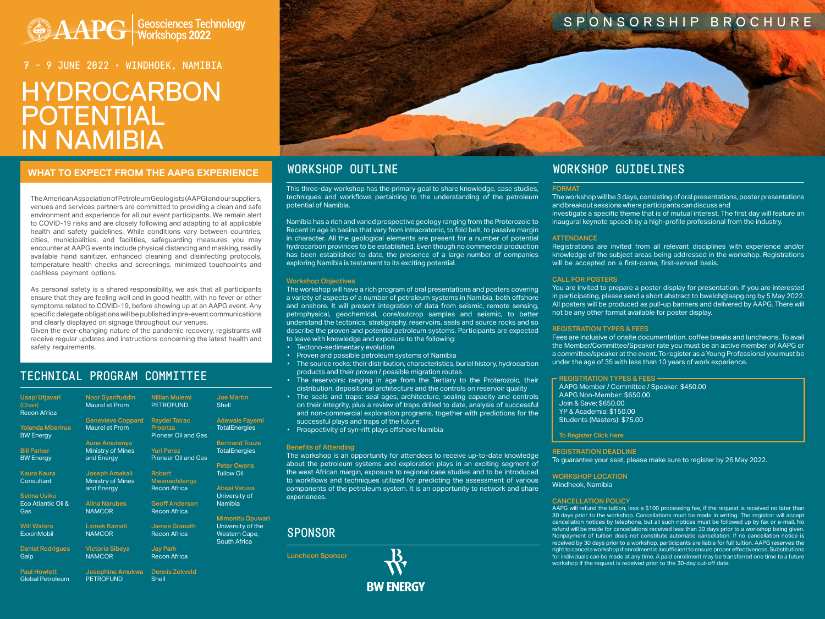# **AAPG Geosciences Technology**

# HYDROCARBON POTENTIAL IN NAMIBIA 7 – 9 JUNE 2022 • WINDHOEK, NAMIBIA

# WHAT TO EXPECT FROM THE AAPG EXPERIENCE WORKSHOP OUTLINE WORKSHOP WORKSHOP GUIDELINES

# SPONSORSHIP BROCHURE

The American Association of Petroleum Geologists (AAPG) and our suppliers, venues and services partners are committed to providing a clean and safe environment and experience for all our event participants. We remain alert to COVID-19 risks and are closely following and adapting to all applicable health and safety guidelines. While conditions vary between countries, cities, municipalities, and facilities, safeguarding measures you may encounter at AAPG events include physical distancing and masking, readily available hand sanitizer, enhanced cleaning and disinfecting protocols, temperature health checks and screenings, minimized touchpoints and cashless payment options.

As personal safety is a shared responsibility, we ask that all participants ensure that they are feeling well and in good health, with no fever or other symptoms related to COVID-19, before showing up at an AAPG event. Any specific delegate obligations will be published in pre-event communications and clearly displayed on signage throughout our venues.

Given the ever-changing nature of the pandemic recovery, registrants will receive regular updates and instructions concerning the latest health and safety requirements.

# TECHNICAL PROGRAM COMMITTEE

This three-day workshop has the primary goal to share knowledge, case studies, techniques and workflows pertaining to the understanding of the petroleum potential of Namibia.

Namibia has a rich and varied prospective geology ranging from the Proterozoic to Recent in age in basins that vary from intracratonic, to fold belt, to passive margin in character. All the geological elements are present for a number of potential hydrocarbon provinces to be established. Even though no commercial production has been established to date, the presence of a large number of companies exploring Namibia is testament to its exciting potential.

#### Workshop Objectives

The workshop will have a rich program of oral presentations and posters covering a variety of aspects of a number of petroleum systems in Namibia, both offshore and onshore. It will present integration of data from seismic, remote sensing, petrophysical, geochemical, core/outcrop samples and seismic, to better understand the tectonics, stratigraphy, reservoirs, seals and source rocks and so describe the proven and potential petroleum systems. Participants are expected to leave with knowledge and exposure to the following:

- Tectono-sedimentary evolution
- Proven and possible petroleum systems of Namibia
- The source rocks: their distribution, characteristics, burial history, hydrocarbon products and their proven / possible migration routes
- The reservoirs: ranging in age from the Tertiary to the Proterozoic, their distribution, depositional architecture and the controls on reservoir quality
- The seals and traps: seal ages, architecture, sealing capacity and controls on their integrity, plus a review of traps drilled to date, analysis of successful and non-commercial exploration programs, together with predictions for the successful plays and traps of the future
- Prospectivity of syn-rift plays offshore Namibia

#### Benefits of Attending

The workshop is an opportunity for attendees to receive up-to-date knowledge about the petroleum systems and exploration plays in an exciting segment of the west African margin, exposure to regional case studies and to be introduced to workflows and techniques utilized for predicting the assessment of various components of the petroleum system. It is an opportunity to network and share experiences.

| <b>Uaapi Utjavari</b><br>(Chair)<br><b>Recon Africa</b> | <b>Noor Syarifuddin</b><br><b>Maurel et Prom</b> | <b>Nillian Mulemi</b><br><b>PETROFUND</b>       | <b>Joe Martin</b><br><b>Shell</b>    |
|---------------------------------------------------------|--------------------------------------------------|-------------------------------------------------|--------------------------------------|
|                                                         | <b>Genevieve Coppard</b>                         | <b>Raydel Toirac</b>                            | <b>Adewale Fayemi</b>                |
| <b>Yolanda Mberirua</b><br><b>BW Energy</b>             | Maurel et Prom                                   | Proenza<br><b>Pioneer Oil and Gas</b>           | <b>TotalEnergies</b>                 |
|                                                         | <b>Aune Amutenya</b>                             |                                                 | <b>Bertrand Touze</b>                |
| <b>Bill Parker</b><br><b>BW Energy</b>                  | <b>Ministry of Mines</b><br>and Energy           | <b>Yuri Perez</b><br><b>Pioneer Oil and Gas</b> | <b>TotalEnergies</b>                 |
|                                                         |                                                  |                                                 | <b>Peter Owens</b>                   |
| <b>Kaura Kaura</b>                                      | Joseph Amakali                                   | <b>Robert</b>                                   | <b>Tullow Oil</b>                    |
| Consultant                                              | <b>Ministry of Mines</b>                         | Mwanachilenga                                   |                                      |
|                                                         | and Energy                                       | <b>Recon Africa</b>                             | Absai Vatuva                         |
| <b>Selma Usiku</b>                                      |                                                  |                                                 | University of                        |
| Eco Atlantic Oil &                                      | <b>Alina Narubes</b>                             | <b>Geoff Anderson</b>                           | <b>Namibia</b>                       |
| Gas                                                     | <b>NAMCOR</b>                                    | <b>Recon Africa</b>                             |                                      |
|                                                         |                                                  |                                                 | <b>Mimonitu Opuwari</b>              |
| <b>Will Waters</b>                                      | <b>Lamek Kamati</b>                              | <b>James Granath</b>                            | University of the                    |
| <b>ExxonMobil</b>                                       | <b>NAMCOR</b>                                    | <b>Recon Africa</b>                             | Western Cape,<br><b>South Africa</b> |
| <b>Daniel Rodrigues</b>                                 | <b>Victoria Sibeya</b>                           | <b>Jay Park</b>                                 |                                      |
| Galp                                                    | <b>NAMCOR</b>                                    | <b>Recon Africa</b>                             |                                      |
| <b>Paul Howlett</b>                                     | Josephine Amukwa                                 | <b>Dennis Zekveld</b>                           |                                      |
| <b>Global Petroleum</b>                                 | <b>PETROFUND</b>                                 | <b>Shell</b>                                    |                                      |



# SPONSOR

Luncheon Sponsor



#### FORMAT

The workshop will be 3 days, consisting of oral presentations, poster presentations and breakout sessions where participants can discuss and investigate a specific theme that is of mutual interest. The first day will feature an inaugural keynote speech by a high-profile professional from the industry.

#### **ATTENDANCE**

Registrations are invited from all relevant disciplines with experience and/or knowledge of the subject areas being addressed in the workshop. Registrations will be accepted on a first-come, first-served basis.

#### CALL FOR POSTERS

You are invited to prepare a poster display for presentation. If you are interested in participating, please send a short abstract to bwelch@aapg.org by 5 May 2022. All posters will be produced as pull-up banners and delivered by AAPG. There will not be any other format available for poster display.

#### REGISTRATION TYPES & FEES

Fees are inclusive of onsite documentation, coffee breaks and luncheons. To avail the Member/Committee/Speaker rate you must be an active member of AAPG or a committee/speaker at the event. To register as a Young Professional you must be under the age of 35 with less than 10 years of work experience.

#### REGISTRATION TYPES & FEES AAPG Member / Committee / Speaker: \$450.00

AAPG Non-Member: \$650.00 Join & Save: \$650.00 YP & Academia: \$150.00 Students (Masters): \$75.00

#### [To Register Click Here](https://www.aapg.org/global/africa/events/workshop/articleid/61114/hydrocarbon-potential-in-namibia#152302391-registration)

#### REGISTRATION DEADLINE

To guarantee your seat, please make sure to register by 26 May 2022.

WORKSHOP LOCATION Windheok, Namibia

#### CANCELLATION POLICY

AAPG will refund the tuition, less a \$100 processing fee, if the request is received no later than 30 days prior to the workshop. Cancellations must be made in writing. The registrar will accept cancellation notices by telephone, but all such notices must be followed up by fax or e-mail. No refund will be made for cancellations received less than 30 days prior to a workshop being given. Nonpayment of tuition does not constitute automatic cancellation. If no cancellation notice is received by 30 days prior to a workshop, participants are liable for full tuition. AAPG reserves the right to cancel a workshop if enrollment is insufficient to ensure proper effectiveness. Substitutions for individuals can be made at any time. A paid enrollment may be transferred one time to a future workshop if the request is received prior to the 30-day cut-off date.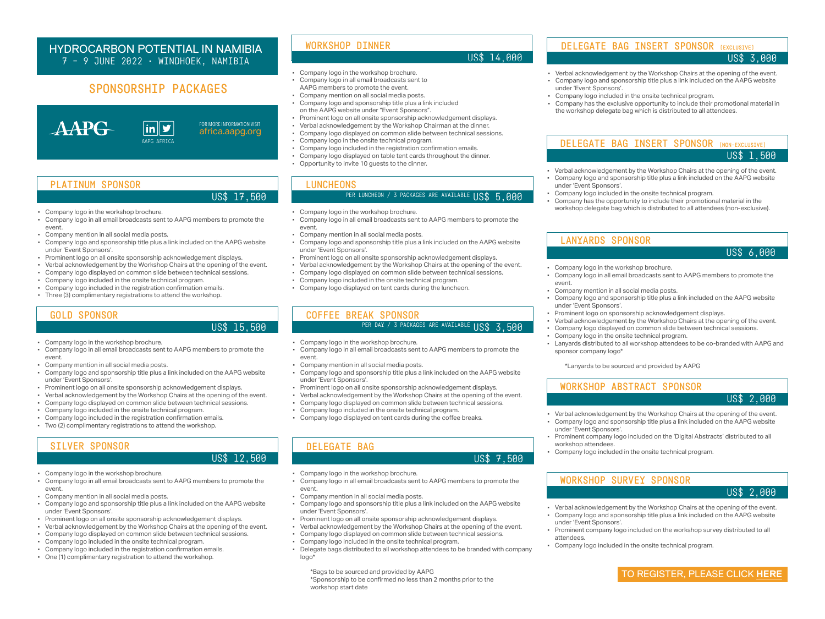# SPONSORSHIP PACKAGES



### HYDROCARBON POTENTIAL IN NAMIBIA 7 – 9 JUNE 2022 • WINDHOEK, NAMIBIA

TO REGISTER, PLEASE CLICK **[HERE](https://www.aapg.org/global/africa/events/workshop/articleid/61114/hydrocarbon-potential-in-namibia#152302391-registration)**

- 
- 
- 

FOR MORE INFORMATION VISIT [africa.aapg.org](https://www.aapg.org/global/africa)



- Company logo in the workshop brochure. • Company logo in all email broadcasts sent to
- AAPG members to promote the event.
- Company mention on all social media posts.
- Company logo and sponsorship title plus a link included on the AAPG website under "Event Sponsors".
- Prominent logo on all onsite sponsorship acknowledgement displays.
- Verbal acknowledgement by the Workshop Chairman at the dinner.
- Company logo displayed on common slide between technical sessions.
- Company logo in the onsite technical program.
- Company logo included in the registration confirmation emails.
- Company logo displayed on table tent cards throughout the dinner.
- Opportunity to invite 10 guests to the dinner.

#### **LUNCHEONS**

## PER LUNCHEON / 3 PACKAGES ARE AVAILABLE  $\overline{USS}$  5,000

#### WORKSHOP DINNER

### US\$ 14,000

- Company logo in the workshop brochure.
- Company logo in all email broadcasts sent to AAPG members to promote the event.
- Company mention in all social media posts.
- Company logo and sponsorship title plus a link included on the AAPG website under 'Event Sponsors'.
- Prominent logo on all onsite sponsorship acknowledgement displays.
- Verbal acknowledgement by the Workshop Chairs at the opening of the event.
- Company logo displayed on common slide between technical sessions.
- Company logo included in the onsite technical program.
- Company logo displayed on tent cards during the luncheon.
- Company logo in the workshop brochure.
- Company logo in all email broadcasts sent to AAPG members to promote the event.
- Company mention in all social media posts.
- Company logo and sponsorship title plus a link included on the AAPG website under 'Event Sponsors'.
- Prominent logo on all onsite sponsorship acknowledgement displays.
- Verbal acknowledgement by the Workshop Chairs at the opening of the event.
- Company logo displayed on common slide between technical sessions.
- Company logo included in the onsite technical program.
- Company logo included in the registration confirmation emails.
- Three (3) complimentary registrations to attend the workshop.

### PLATINUM SPONSOR

#### US\$ 17,500

- Company logo in the workshop brochure.
- Company logo in all email broadcasts sent to AAPG members to promote the event.
- Company mention in all social media posts.
- Company logo and sponsorship title plus a link included on the AAPG website under 'Event Sponsors'.
- Prominent logo on all onsite sponsorship acknowledgement displays.
- Verbal acknowledgement by the Workshop Chairs at the opening of the event.
- Company logo displayed on common slide between technical sessions.
- Company logo included in the onsite technical program.
- Delegate bags distributed to all workshop attendees to be branded with company logo\*

\*Bags to be sourced and provided by AAPG \*Sponsorship to be confirmed no less than 2 months prior to the workshop start date

# DELEGATE BAG

#### US\$ 7,500

- Verbal acknowledgement by the Workshop Chairs at the opening of the event.
- Company logo and sponsorship title plus a link included on the AAPG website under 'Event Sponsors'.
- Company logo included in the onsite technical program.
- Company has the opportunity to include their promotional material in the workshop delegate bag which is distributed to all attendees (non-exclusive).

### DELEGATE BAG INSERT SPONSOR (NON-EXCLUSIVE) US\$ 1,500

- Company logo in the workshop brochure.
- Company logo in all email broadcasts sent to AAPG members to promote the event.
- Company mention in all social media posts.
- Company logo and sponsorship title plus a link included on the AAPG website under 'Event Sponsors'.
- Prominent logo on sponsorship acknowledgement displays.
- Verbal acknowledgement by the Workshop Chairs at the opening of the event.
- Company logo displayed on common slide between technical sessions.
- Company logo in the onsite technical program.
- Lanyards distributed to all workshop attendees to be co-branded with AAPG and sponsor company logo\*

\*Lanyards to be sourced and provided by AAPG

LANYARDS SPONSOR

# US\$ 6,000

- Verbal acknowledgement by the Workshop Chairs at the opening of the event. • Company logo and sponsorship title plus a link included on the AAPG website under 'Event Sponsors'.
- Prominent company logo included on the workshop survey distributed to all attendees.
- Company logo included in the onsite technical program.

# WORKSHOP SURVEY SPONSOR

US\$ 2,000

- Verbal acknowledgement by the Workshop Chairs at the opening of the event. • Company logo and sponsorship title plus a link included on the AAPG website
- under 'Event Sponsors'.
- Prominent company logo included on the 'Digital Abstracts' distributed to all workshop attendees.
- Company logo included in the onsite technical program.
- 

#### WORKSHOP ABSTRACT SPONSOR

US\$ 2,000

- Company logo in the workshop brochure.
- Company logo in all email broadcasts sent to AAPG members to promote the event.
- Company mention in all social media posts.
- Company logo and sponsorship title plus a link included on the AAPG website under 'Event Sponsors'.
- Prominent logo on all onsite sponsorship acknowledgement displays.
- Verbal acknowledgement by the Workshop Chairs at the opening of the event.
- Company logo displayed on common slide between technical sessions.
- Company logo included in the onsite technical program.
- Company logo included in the registration confirmation emails.
- Two (2) complimentary registrations to attend the workshop.

### GOLD SPONSOR

#### US\$ 15,500

- Company logo in the workshop brochure.
- Company logo in all email broadcasts sent to AAPG members to promote the event.
- Company mention in all social media posts.
- Company logo and sponsorship title plus a link included on the AAPG website under 'Event Sponsors'.
- Prominent logo on all onsite sponsorship acknowledgement displays.
- Verbal acknowledgement by the Workshop Chairs at the opening of the event.
- Company logo displayed on common slide between technical sessions.
- Company logo included in the onsite technical program.
- Company logo included in the registration confirmation emails.
- One (1) complimentary registration to attend the workshop.

## SILVER SPONSOR

#### US\$ 12,500

- Verbal acknowledgement by the Workshop Chairs at the opening of the event.
- Company logo and sponsorship title plus a link included on the AAPG website under 'Event Sponsors'.
- Company logo included in the onsite technical program.
- Company has the exclusive opportunity to include their promotional material in the workshop delegate bag which is distributed to all attendees.

### DELEGATE BAG INSERT SPONSOR (EXCLUSIVE)

#### US\$ 3,000

- Company logo in the workshop brochure.
- Company logo in all email broadcasts sent to AAPG members to promote the event.
- Company mention in all social media posts.
- Company logo and sponsorship title plus a link included on the AAPG website under 'Event Sponsors'.
- Prominent logo on all onsite sponsorship acknowledgement displays.
- Verbal acknowledgement by the Workshop Chairs at the opening of the event.
- Company logo displayed on common slide between technical sessions.
- Company logo included in the onsite technical program.
- Company logo displayed on tent cards during the coffee breaks.

#### COFFEE BREAK SPONSOR

# PER DAY / 3 PACKAGES ARE AVAILABLE US\$ 3,500